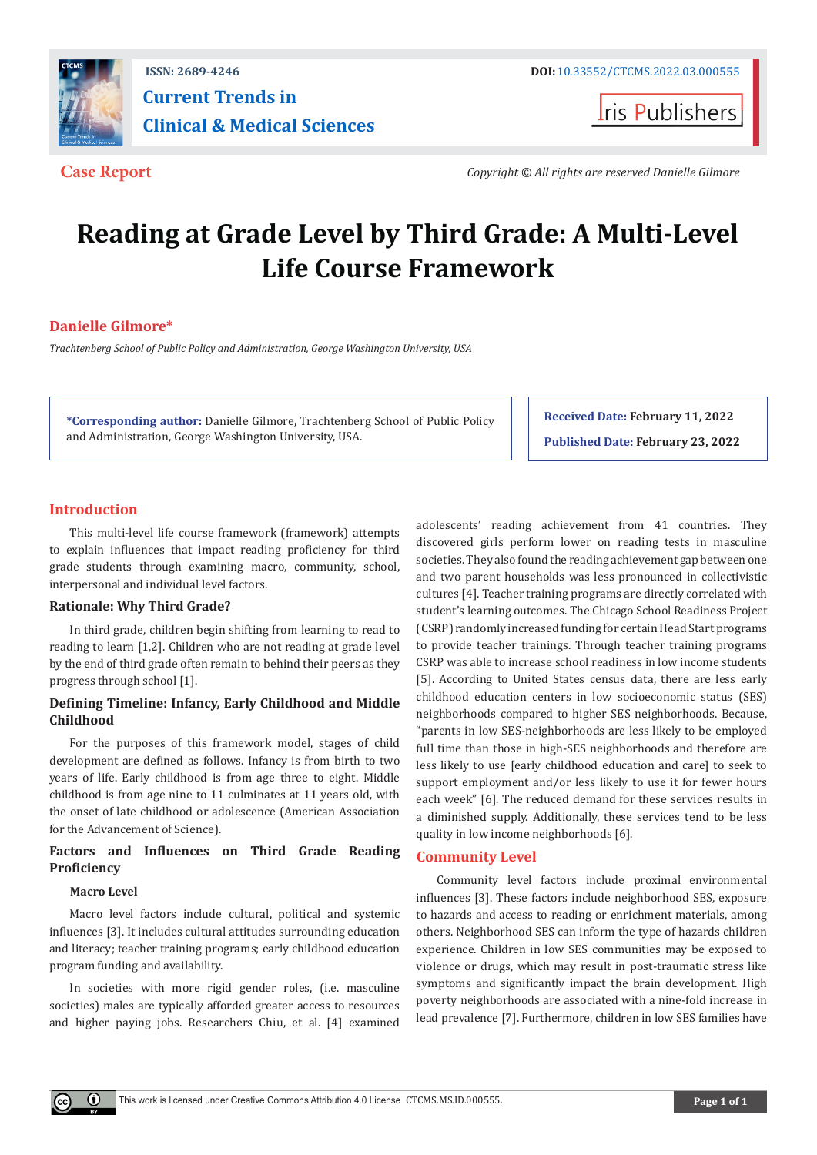

## **[ISSN: 2689-4246 DOI:](http://dx.doi.org/10.33552/CTCMS.2022.03.000553)** [10.33552/CTCMS.2022.03.000555](http://dx.doi.org/10.33552/CTCMS.2022.03.000555) **Current Trends in Clinical & Medical Sciences**

**Iris Publishers** 

**Case Report** *Copyright © All rights are reserved Danielle Gilmore*

# **Reading at Grade Level by Third Grade: A Multi-Level Life Course Framework**

### **Danielle Gilmore\***

*Trachtenberg School of Public Policy and Administration, George Washington University, USA*

**\*Corresponding author:** Danielle Gilmore, Trachtenberg School of Public Policy and Administration, George Washington University, USA.

**Received Date: February 11, 2022 Published Date: February 23, 2022**

#### **Introduction**

This multi-level life course framework (framework) attempts to explain influences that impact reading proficiency for third grade students through examining macro, community, school, interpersonal and individual level factors.

#### **Rationale: Why Third Grade?**

In third grade, children begin shifting from learning to read to reading to learn [1,2]. Children who are not reading at grade level by the end of third grade often remain to behind their peers as they progress through school [1].

#### **Defining Timeline: Infancy, Early Childhood and Middle Childhood**

For the purposes of this framework model, stages of child development are defined as follows. Infancy is from birth to two years of life. Early childhood is from age three to eight. Middle childhood is from age nine to 11 culminates at 11 years old, with the onset of late childhood or adolescence (American Association for the Advancement of Science).

#### **Factors and Influences on Third Grade Reading Proficiency**

#### **Macro Level**

Macro level factors include cultural, political and systemic influences [3]. It includes cultural attitudes surrounding education and literacy; teacher training programs; early childhood education program funding and availability.

In societies with more rigid gender roles, (i.e. masculine societies) males are typically afforded greater access to resources and higher paying jobs. Researchers Chiu, et al. [4] examined

adolescents' reading achievement from 41 countries. They discovered girls perform lower on reading tests in masculine societies. They also found the reading achievement gap between one and two parent households was less pronounced in collectivistic cultures [4]. Teacher training programs are directly correlated with student's learning outcomes. The Chicago School Readiness Project (CSRP) randomly increased funding for certain Head Start programs to provide teacher trainings. Through teacher training programs CSRP was able to increase school readiness in low income students [5]. According to United States census data, there are less early childhood education centers in low socioeconomic status (SES) neighborhoods compared to higher SES neighborhoods. Because, "parents in low SES-neighborhoods are less likely to be employed full time than those in high-SES neighborhoods and therefore are less likely to use [early childhood education and care] to seek to support employment and/or less likely to use it for fewer hours each week" [6]. The reduced demand for these services results in a diminished supply. Additionally, these services tend to be less quality in low income neighborhoods [6].

#### **Community Level**

Community level factors include proximal environmental influences [3]. These factors include neighborhood SES, exposure to hazards and access to reading or enrichment materials, among others. Neighborhood SES can inform the type of hazards children experience. Children in low SES communities may be exposed to violence or drugs, which may result in post-traumatic stress like symptoms and significantly impact the brain development. High poverty neighborhoods are associated with a nine-fold increase in lead prevalence [7]. Furthermore, children in low SES families have

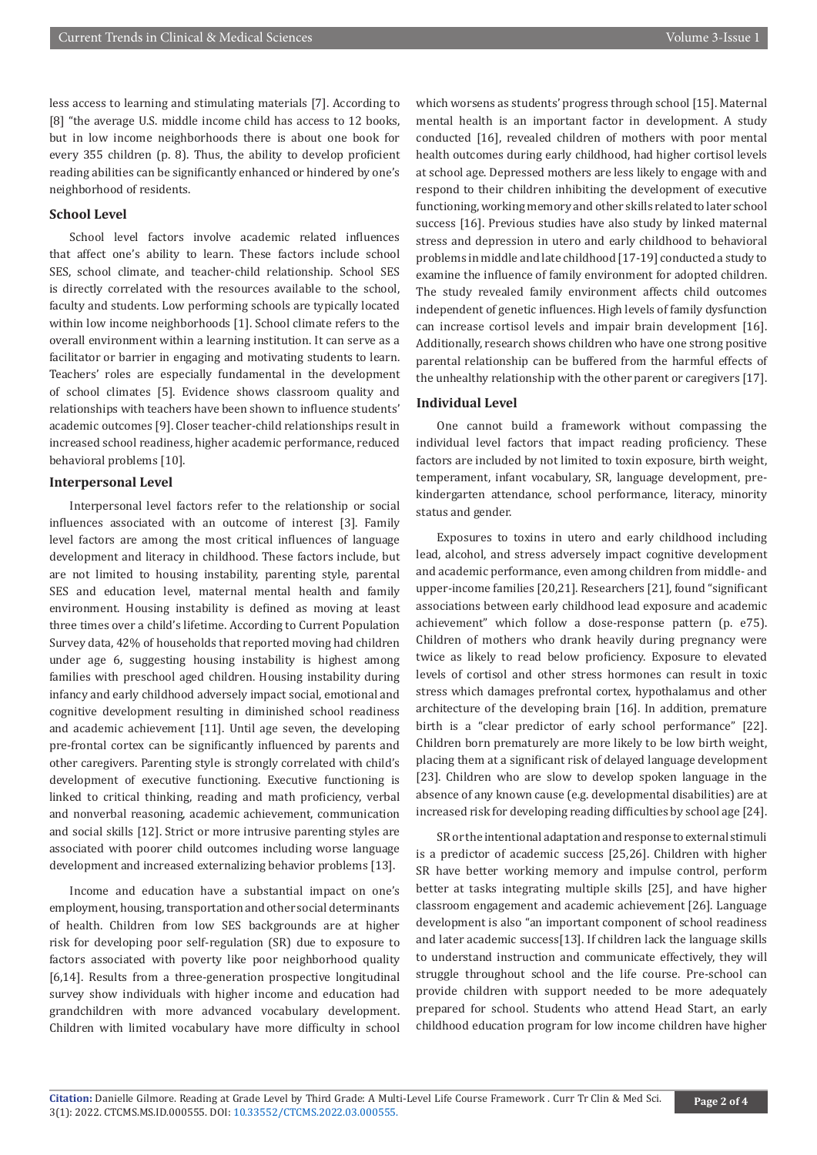less access to learning and stimulating materials [7]. According to [8] "the average U.S. middle income child has access to 12 books, but in low income neighborhoods there is about one book for every 355 children (p. 8). Thus, the ability to develop proficient reading abilities can be significantly enhanced or hindered by one's neighborhood of residents.

#### **School Level**

School level factors involve academic related influences that affect one's ability to learn. These factors include school SES, school climate, and teacher-child relationship. School SES is directly correlated with the resources available to the school, faculty and students. Low performing schools are typically located within low income neighborhoods [1]. School climate refers to the overall environment within a learning institution. It can serve as a facilitator or barrier in engaging and motivating students to learn. Teachers' roles are especially fundamental in the development of school climates [5]. Evidence shows classroom quality and relationships with teachers have been shown to influence students' academic outcomes [9]. Closer teacher-child relationships result in increased school readiness, higher academic performance, reduced behavioral problems [10].

#### **Interpersonal Level**

Interpersonal level factors refer to the relationship or social influences associated with an outcome of interest [3]. Family level factors are among the most critical influences of language development and literacy in childhood. These factors include, but are not limited to housing instability, parenting style, parental SES and education level, maternal mental health and family environment. Housing instability is defined as moving at least three times over a child's lifetime. According to Current Population Survey data, 42% of households that reported moving had children under age 6, suggesting housing instability is highest among families with preschool aged children. Housing instability during infancy and early childhood adversely impact social, emotional and cognitive development resulting in diminished school readiness and academic achievement [11]. Until age seven, the developing pre-frontal cortex can be significantly influenced by parents and other caregivers. Parenting style is strongly correlated with child's development of executive functioning. Executive functioning is linked to critical thinking, reading and math proficiency, verbal and nonverbal reasoning, academic achievement, communication and social skills [12]. Strict or more intrusive parenting styles are associated with poorer child outcomes including worse language development and increased externalizing behavior problems [13].

Income and education have a substantial impact on one's employment, housing, transportation and other social determinants of health. Children from low SES backgrounds are at higher risk for developing poor self-regulation (SR) due to exposure to factors associated with poverty like poor neighborhood quality [6,14]. Results from a three-generation prospective longitudinal survey show individuals with higher income and education had grandchildren with more advanced vocabulary development. Children with limited vocabulary have more difficulty in school which worsens as students' progress through school [15]. Maternal mental health is an important factor in development. A study conducted [16], revealed children of mothers with poor mental health outcomes during early childhood, had higher cortisol levels at school age. Depressed mothers are less likely to engage with and respond to their children inhibiting the development of executive functioning, working memory and other skills related to later school success [16]. Previous studies have also study by linked maternal stress and depression in utero and early childhood to behavioral problems in middle and late childhood [17-19] conducted a study to examine the influence of family environment for adopted children. The study revealed family environment affects child outcomes independent of genetic influences. High levels of family dysfunction can increase cortisol levels and impair brain development [16]. Additionally, research shows children who have one strong positive parental relationship can be buffered from the harmful effects of the unhealthy relationship with the other parent or caregivers [17].

#### **Individual Level**

One cannot build a framework without compassing the individual level factors that impact reading proficiency. These factors are included by not limited to toxin exposure, birth weight, temperament, infant vocabulary, SR, language development, prekindergarten attendance, school performance, literacy, minority status and gender.

Exposures to toxins in utero and early childhood including lead, alcohol, and stress adversely impact cognitive development and academic performance, even among children from middle- and upper-income families [20,21]. Researchers [21], found "significant associations between early childhood lead exposure and academic achievement" which follow a dose-response pattern (p. e75). Children of mothers who drank heavily during pregnancy were twice as likely to read below proficiency. Exposure to elevated levels of cortisol and other stress hormones can result in toxic stress which damages prefrontal cortex, hypothalamus and other architecture of the developing brain [16]. In addition, premature birth is a "clear predictor of early school performance" [22]. Children born prematurely are more likely to be low birth weight, placing them at a significant risk of delayed language development [23]. Children who are slow to develop spoken language in the absence of any known cause (e.g. developmental disabilities) are at increased risk for developing reading difficulties by school age [24].

SR or the intentional adaptation and response to external stimuli is a predictor of academic success [25,26]. Children with higher SR have better working memory and impulse control, perform better at tasks integrating multiple skills [25], and have higher classroom engagement and academic achievement [26]. Language development is also "an important component of school readiness and later academic success[13]. If children lack the language skills to understand instruction and communicate effectively, they will struggle throughout school and the life course. Pre-school can provide children with support needed to be more adequately prepared for school. Students who attend Head Start, an early childhood education program for low income children have higher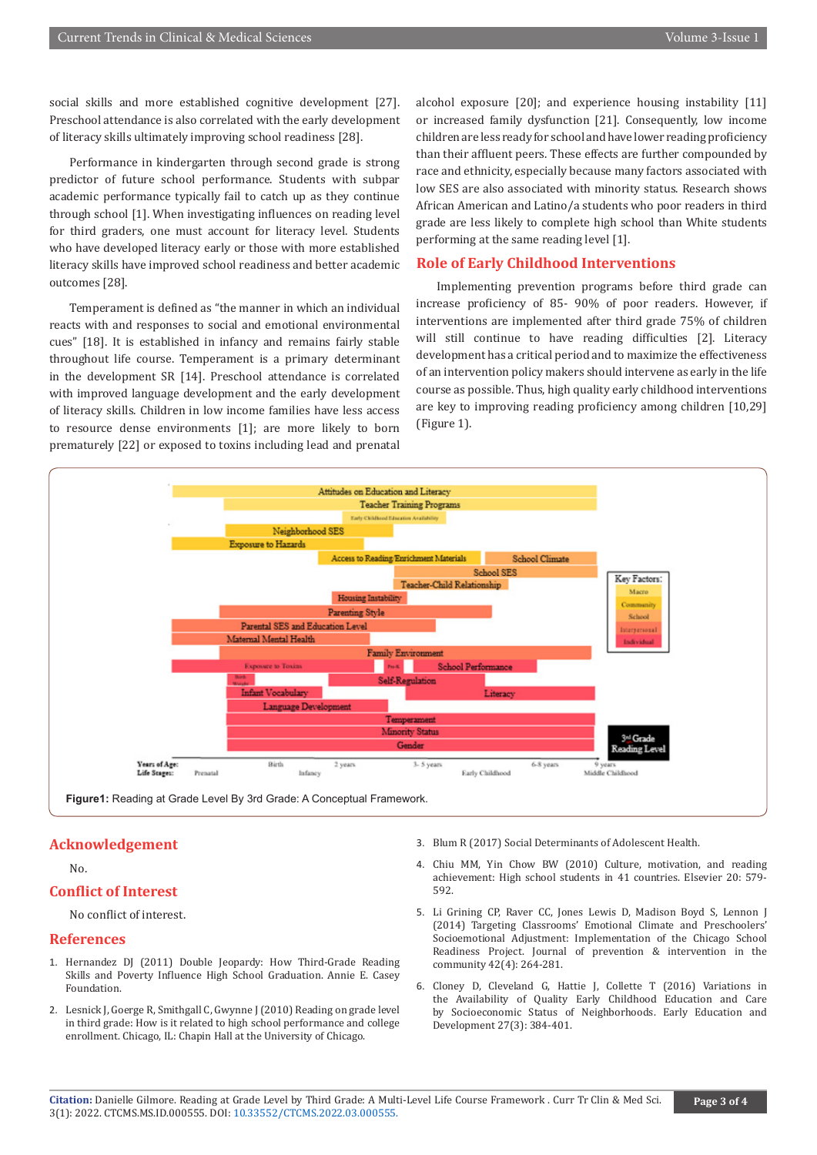social skills and more established cognitive development [27]. Preschool attendance is also correlated with the early development of literacy skills ultimately improving school readiness [28].

Performance in kindergarten through second grade is strong predictor of future school performance. Students with subpar academic performance typically fail to catch up as they continue through school [1]. When investigating influences on reading level for third graders, one must account for literacy level. Students who have developed literacy early or those with more established literacy skills have improved school readiness and better academic outcomes [28].

Temperament is defined as "the manner in which an individual reacts with and responses to social and emotional environmental cues" [18]. It is established in infancy and remains fairly stable throughout life course. Temperament is a primary determinant in the development SR [14]. Preschool attendance is correlated with improved language development and the early development of literacy skills. Children in low income families have less access to resource dense environments [1]; are more likely to born prematurely [22] or exposed to toxins including lead and prenatal

alcohol exposure [20]; and experience housing instability [11] or increased family dysfunction [21]. Consequently, low income children are less ready for school and have lower reading proficiency than their affluent peers. These effects are further compounded by race and ethnicity, especially because many factors associated with low SES are also associated with minority status. Research shows African American and Latino/a students who poor readers in third grade are less likely to complete high school than White students performing at the same reading level [1].

#### **Role of Early Childhood Interventions**

Implementing prevention programs before third grade can increase proficiency of 85- 90% of poor readers. However, if interventions are implemented after third grade 75% of children will still continue to have reading difficulties [2]. Literacy development has a critical period and to maximize the effectiveness of an intervention policy makers should intervene as early in the life course as possible. Thus, high quality early childhood interventions are key to improving reading proficiency among children [10,29] (Figure 1).



#### **Acknowledgement**

 $N<sub>0</sub>$ 

#### **Conflict of Interest**

No conflict of interest.

#### **References**

- 1. Hernandez DJ (2011) Double Jeopardy: How Third-Grade Reading Skills and Poverty Influence High School Graduation. Annie E. Casey Foundation.
- 2. Lesnick J, Goerge R, Smithgall C, Gwynne J (2010) Reading on grade level in third grade: How is it related to high school performance and college enrollment. Chicago, IL: Chapin Hall at the University of Chicago.
- 3. Blum R (2017) Social Determinants of Adolescent Health.
- 4. Chiu MM, Yin Chow BW (2010) Culture, motivation, and reading achievement: High school students in 41 countries. Elsevier 20: 579- 592.
- 5. [Li Grining CP, Raver CC, Jones Lewis D, Madison Boyd S, Lennon J](https://pubmed.ncbi.nlm.nih.gov/25321641/) [\(2014\) Targeting Classrooms' Emotional Climate and Preschoolers'](https://pubmed.ncbi.nlm.nih.gov/25321641/) [Socioemotional Adjustment: Implementation of the Chicago School](https://pubmed.ncbi.nlm.nih.gov/25321641/) [Readiness Project. Journal of prevention & intervention in the](https://pubmed.ncbi.nlm.nih.gov/25321641/) [community 42\(4\): 264-281.](https://pubmed.ncbi.nlm.nih.gov/25321641/)
- 6. Cloney D, Cleveland G, Hattie J, Collette T (2016) Variations in the Availability of Quality Early Childhood Education and Care by Socioeconomic Status of Neighborhoods. Early Education and Development 27(3): 384-401.